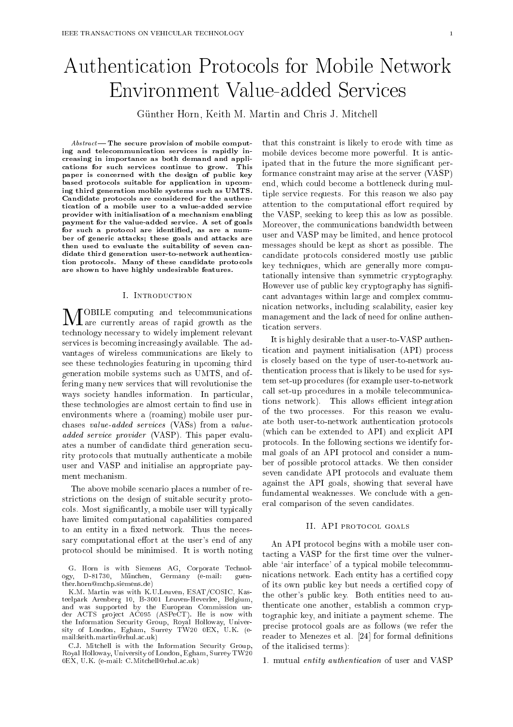# Authentication Protocols for Mobile Network Environment Value-added Services

Günther Horn, Keith M. Martin and Chris J. Mitchell

 $Abstract$ — The secure provision of mobile computing and telecommunication services is rapidly increasing in importance as both demand and applications for such services continue to grow. This paper is concerned with the design of public key based protocols suitable for application in upcoming third generation mobile systems such as UMTS. Candidate protocols are considered for the authentication of a mobile user to a value-added service provider with initialisation of a mechanism enabling payment for the value-added service. A set of goals for such a protocol are identified, as are a number of generic attacks; these goals and attacks are then used to evaluate the suitability of seven candidate third generation user-to-network authentication protocols. Many of these candidate protocols are shown to have highly undesirable features.

#### I. Introduction

 $\prod_{\alpha}$  are currently areas of rapid growth as the technology necessary to widely implement relevant services is becoming increasingly available. The advantages of wireless communications are likely to see these technologies featuring in upcoming third generation mobile systems such as UMTS, and offering many new services that will revolutionise the ways society handles information. In particular, these technologies are almost certain to find use in environments where a (roaming) mobile user purchases value-added services (VASs) from a valueadded service provider (VASP). This paper evaluates a number of candidate third generation security protocols that mutually authenticate a mobile user and VASP and initialise an appropriate payment mechanism.

The above mobile scenario places a number of restrictions on the design of suitable security protocols. Most signicantly, a mobile user will typically have limited computational capabilities compared to an entity in a fixed network. Thus the necessary computational effort at the user's end of any protocol should be minimised. It is worth noting

C.J. Mitchell is with the Information Security Group, Royal Holloway, University of London, Egham, Surrey TW20 0EX, U.K. (e-mail: C.Mitchell@rhul.ac.uk)

that this constraint is likely to erode with time as mobile devices become more powerful. It is anticipated that in the future the more signicant performance constraint may arise at the server (VASP) end, which could become a bottleneck during multiple service requests. For this reason we also pay attention to the computational effort required by the VASP, seeking to keep this as low as possible. Moreover, the communications bandwidth between user and VASP may be limited, and hence protocol messages should be kept as short as possible. The candidate protocols considered mostly use public key techniques, which are generally more computationally intensive than symmetric cryptography. However use of public key cryptography has significant advantages within large and complex communication networks, including scalability, easier key management and the lack of need for online authentication servers.

It is highly desirable that a user-to-VASP authentication and payment initialisation (API) process is closely based on the type of user-to-network authentication process that is likely to be used for system set-up procedures (for example user-to-network call set-up procedures in a mobile telecommunications network). This allows efficient integration of the two processes. For this reason we evaluate both user-to-network authentication protocols (which can be extended to API) and explicit API protocols. In the following sections we identify formal goals of an API protocol and consider a number of possible protocol attacks. We then consider seven candidate API protocols and evaluate them against the API goals, showing that several have fundamental weaknesses. We conclude with a general comparison of the seven candidates.

# II. API PROTOCOL GOALS

An API protocol begins with a mobile user contacting a VASP for the first time over the vulnerable `air interface' of a typical mobile telecommunications network. Each entity has a certied copy of its own public key but needs a certied copy of the other's public key. Both entities need to authenticate one another, establish a common cryptographic key, and initiate a payment scheme. The precise protocol goals are as follows (we refer the reader to Menezes et al. [24] for formal definitions of the italicised terms):

1. mutual entity authentication of user and VASP

G. Horn is with Siemens AG, Corporate Technology, D-81730, Munc hen, Germany (e-mail: guenther.horn@mchp.siemens.de)

K.M. Martin was with K.U.Leuven, ESAT/COSIC, Kasteelpark Arenberg 10, B-3001 Leuven-Heverlee, Belgium, and was supported by the European Commission under ACTS project AC095 (ASPeCT). He is now with the Information Security Group, Royal Holloway, University of London, Egham, Surrey TW20 0EX, U.K. (email:keith.martin@rhul.ac.uk)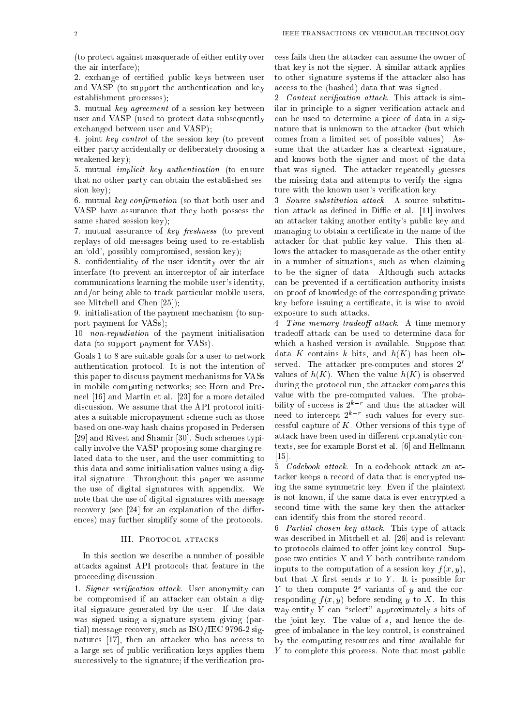(to protect against masquerade of either entity over the air interface);

2. exchange of certied public keys between user and VASP (to support the authentication and key establishment processes);

3. mutual key agreement of a session key between user and VASP (used to protect data subsequently exchanged between user and VASP);

4. joint key control of the session key (to prevent either party accidentally or deliberately choosing a weakened key);

5. mutual implicit key authentication (to ensure that no other party can obtain the established session key);

6. mutual key confirmation (so that both user and VASP have assurance that they both possess the same shared session key);

7. mutual assurance of key freshness (to prevent replays of old messages being used to re-establish an 'old', possibly compromised, session key);

8. condentiality of the user identity over the air interface (to prevent an interceptor of air interface communications learning the mobile user's identity, and/or being able to track particular mobile users, see Mitchell and Chen [25]);

9. initialisation of the payment mechanism (to support payment for VASs);

10. non-repudiation of the payment initialisation data (to support payment for VASs).

Goals 1 to 8 are suitable goals for a user-to-network authentication protocol. It is not the intention of this paper to discuss payment mechanisms for VASs in mobile computing networks; see Horn and Preneel [16] and Martin et al. [23] for a more detailed discussion. We assume that the API protocol initiates a suitable micropayment scheme such as those based on one-way hash chains proposed in Pedersen [29] and Rivest and Shamir [30]. Such schemes typically involve the VASP proposing some charging related data to the user, and the user committing to this data and some initialisation values using a digital signature. Throughout this paper we assume the use of digital signatures with appendix. We note that the use of digital signatures with message recovery (see  $[24]$  for an explanation of the differences) may further simplify some of the protocols.

#### III. PROTOCOL ATTACKS

In this section we describe a number of possible attacks against API protocols that feature in the proceeding discussion.

1. Signer verification attack. User anonymity can be compromised if an attacker can obtain a digital signature generated by the user. If the data was signed using a signature system giving (partial) message recovery, such as ISO/IEC 9796-2 signatures [17], then an attacker who has access to a large set of public verification keys applies them successively to the signature; if the verification process fails then the attacker can assume the owner of that key is not the signer. A similar attack applies to other signature systems if the attacker also has access to the (hashed) data that was signed.

2. Content verification attack. This attack is similar in principle to a signer verification attack and can be used to determine a piece of data in a signature that is unknown to the attacker (but which comes from a limited set of possible values). Assume that the attacker has a cleartext signature, and knows both the signer and most of the data that was signed. The attacker repeatedly guesses the missing data and attempts to verify the signature with the known user's verification key.

3. Source substitution attack. A source substitution attack as defined in Diffie et al. [11] involves an attacker taking another entity's public key and managing to obtain a certicate in the name of the attacker for that public key value. This then allows the attacker to masquerade as the other entity in a number of situations, such as when claiming to be the signer of data. Although such attacks can be prevented if a certication authority insists on proof of knowledge of the corresponding private key before issuing a certificate, it is wise to avoid exposure to such attacks.

4. Time-memory tradeoff attack. A time-memory tradeoff attack can be used to determine data for which a hashed version is available. Suppose that data K contains k bits, and  $h(K)$  has been observed. The attacker pre-computes and stores  $2<sup>r</sup>$ values of  $h(K)$ . When the value  $h(K)$  is observed during the protocol run, the attacker compares this value with the pre-computed values. The probability of success is  $2^{k-r}$  and thus the attacker will need to intercept 2kr such values for every successful capture of  $K$ . Other versions of this type of attack have been used in different crptanalytic contexts, see for example Borst et al. [6] and Hellmann [15].

5. Codebook attack. In a codebook attack an attacker keeps a record of data that is encrypted using the same symmetric key. Even if the plaintext is not known, if the same data is ever encrypted a second time with the same key then the attacker can identify this from the stored record.

6. Partial chosen key attack. This type of attack was described in Mitchell et al. [26] and is relevant to protocols claimed to offer joint key control. Suppose two entities  $X$  and  $Y$  both contribute random inputs to the computation of a session key  $f(x, y)$ , but that  $X$  first sends  $x$  to  $Y$ . It is possible for  $\alpha$  to then compute  $\alpha$  variants of  $\eta$  and the corresponding  $f(x, y)$  before sending y to X. In this way entity Y can "select" approximately s bits of the joint key. The value of s, and hence the degree of imbalance in the key control, is constrained by the computing resources and time available for y to complete this process. At the most most public p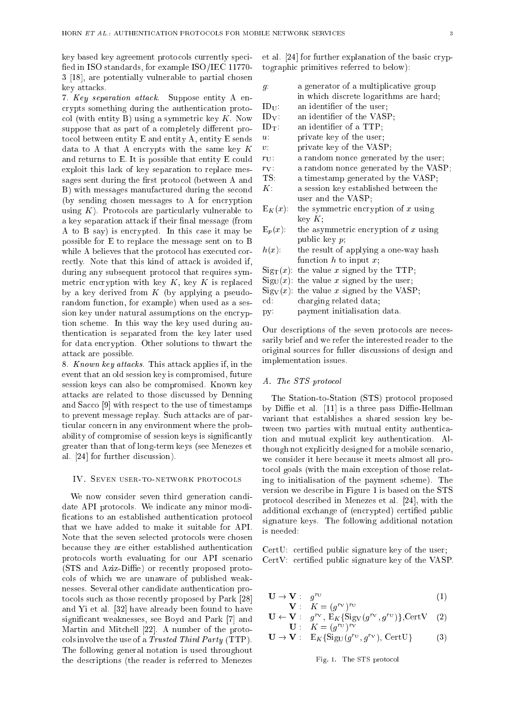key based key agreement protocols currently speci fied in ISO standards, for example  $ISO/IEC 11770-$ 3 [18], are potentially vulnerable to partial chosen key attacks.

7. Key separation attack. Suppose entity <sup>A</sup> encrypts something during the authentication protocol (with entity B) using a symmetric key  $K$ . Now suppose that as part of a completely different protocol between entity E and entity A, entity E sends data to A that A encrypts with the same key  $K$ and returns to E. It is possible that entity E could exploit this lack of key separation to replace messages sent during the first protocol (between A and B) with messages manufactured during the second (by sending chosen messages to A for encryption using  $K$ ). Protocols are particularly vulnerable to a key separation attack if their final message (from A to B say) is encrypted. In this case it may be possible for E to replace the message sent on to B while A believes that the protocol has executed correctly. Note that this kind of attack is avoided if, during any subsequent protocol that requires symmetric encryption with key  $K$ , key  $K$  is replaced by a key derived from  $K$  (by applying a pseudorandom function, for example) when used as a session key under natural assumptions on the encryption scheme. In this way the key used during authentication is separated from the key later used for data encryption. Other solutions to thwart the attack are possible.

8. Known key attacks. This attack applies if, in the event that an old session key is compromised, future session keys can also be compromised. Known key attacks are related to those discussed by Denning and Sacco [9] with respect to the use of timestamps to prevent message replay. Such attacks are of particular concern in any environment where the probability of compromise of session keys is significantly greater than that of long-term keys (see Menezes et al. [24] for further discussion).

# IV. SEVEN USER-TO-NETWORK PROTOCOLS

We now consider seven third generation candidate API protocols. We indicate any minor modi fications to an established authentication protocol that we have added to make it suitable for API. Note that the seven selected protocols were chosen because they are either established authentication protocols worth evaluating for our API scenario (STS and Aziz-Diffie) or recently proposed protocols of which we are unaware of published weaknesses. Several other candidate authentication protocols such as those recently proposed by Park [28] and Yi et al. [32] have already been found to have signicant weaknesses, see Boyd and Park [7] and Martin and Mitchell [22]. A number of the protocols involve the use of a Trusted Third Party (TTP). The following general notation is used throughout the descriptions (the reader is referred to Menezes

et al. [24] for further explanation of the basic cryptographic primitives referred to below):

| $g$ :             | a generator of a multiplicative group  |
|-------------------|----------------------------------------|
|                   | in which discrete logarithms are hard; |
| $ID_U$ :          | an identifier of the user;             |
| $ID_V$ :          | an identifier of the VASP;             |
| $ID_T$ :          | an identifier of a TTP;                |
| $u$ .             | private key of the user.               |
| $v$ :             | private key of the VASP;               |
| $r_{\text{II}}$ : | a random nonce generated by the user;  |
| $r_{\rm V}$ :     | a random nonce generated by the VASP;  |
| TS:               | a timestamp generated by the VASP;     |
| $K$ :             | a session key established between the  |
|                   | user and the VASP;                     |
| $E_K(x)$ :        | the symmetric encryption of $x$ using  |
|                   | $\text{keV } K$ :                      |
| $E_p(x)$ :        | the asymmetric encryption of $x$ using |
|                   | public key <i>p</i> :                  |
| $L(\infty)$ .     | the recult of enalving a one week hook |

- $h(x)$ : the result of applying a one-way hash function  $h$  to input  $x$ ;
- $Sign(x)$ : the value x signed by the TTP;
- $\text{Sig}_{\text{U}}(x)$ : the value x signed by the user;
- $Sig_V(x)$ : the value x signed by the VASP;
- cd: charging related data;
- py: payment initialisation data.

Our descriptions of the seven protocols are necessarily brief and we refer the interested reader to the original sources for fuller discussions of design and implementation issues.

#### A. The STS protocol

The Station-to-Station (STS) protocol proposed by Diffie et al.  $[11]$  is a three pass Diffie-Hellman variant that establishes a shared session key between two parties with mutual entity authentication and mutual explicit key authentication. Although not explicitly designed for a mobile scenario, we consider it here because it meets almost all protocol goals (with the main exception of those relating to initialisation of the payment scheme). The version we describe in Figure 1 is based on the STS protocol described in Menezes et al. [24], with the additional exchange of (encrypted) certified public signature keys. The following additional notation is needed:

CertU: certied public signature key of the user; CertV: certied public signature key of the VASP.

$$
\mathbf{U} \to \mathbf{V} : g^{rv} \tag{1}
$$
\n
$$
\mathbf{V} : K = (a^r \mathbf{V})^r \mathbf{U}
$$

$$
\mathbf{U} \leftarrow \mathbf{V}: \quad g^{rv}, \quad \mathbf{E}_K \{\mathbf{Sig}_V(g^{rv}, g^{rv})\}, \text{Cert }V \quad (2)
$$
  

$$
\mathbf{U}: \quad K = (g^{rv})^{rv}
$$

$$
\mathbf{U} \to \mathbf{V} : \mathbf{E}_K \{ \mathrm{Sig_U}(g^{r_U}, g^{r_V}), \, \mathrm{CertU} \} \tag{3}
$$

)

Fig. 1. The STS protocol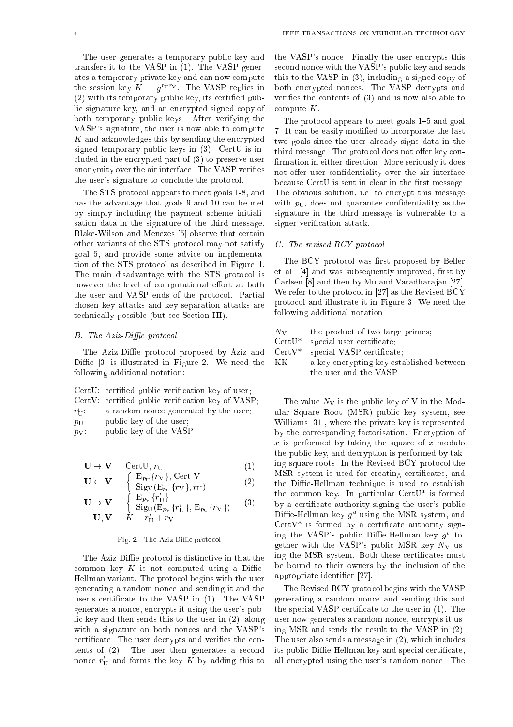The user generates a temporary public key and transfers it to the VASP in (1). The VASP generates a temporary private key and can now compute the session key  $K = q^{\circ}$ . The VASP replies in (2) with its temporary public key, its certied public signature key, and an encrypted signed copy of both temporary public keys. After verifying the VASP's signature, the user is now able to compute  $\mathbf{f}$  and accuracy the encrypted the encrypted the encry problem that  $\mathbf{f}$ signed temporary public keys in (3). CertU is included in the encrypted part of (3) to preserve user

The STS protocol appears to meet goals 1-8, and has the advantage that goals 9 and 10 can be met by simply including the payment scheme initialisation data in the signature of the third message. Blake-Wilson and Menezes [5] observe that certain other variants of the STS protocol may not satisfy goal 5, and provide some advice on implementation of the STS protocol as described in Figure 1. The main disadvantage with the STS protocol is however the level of computational effort at both the user and VASP ends of the protocol. Partial chosen key attacks and key separation attacks are technically possible (but see Section III).

anonymity over the air interface. The VASP veries the user's signature to conclude the protocol.

# $B.$  The Aziz-Diffie protocol

\_\_

 $\blacksquare$ 

The Aziz-Diffie protocol proposed by Aziz and Diffie  $[3]$  is illustrated in Figure 2. We need the following additional notation:

|                   | CertU: certified public verification key of user.        |
|-------------------|----------------------------------------------------------|
|                   | $CertV:$ certified public verification key of $VASP$ .   |
|                   | $r'_{\text{II}}$ : a random nonce generated by the user. |
| $p_{\text{II}}$ . | public key of the user:                                  |
| $p_{\rm V}$ .     | public key of the VASP.                                  |

$$
\mathbf{U} \to \mathbf{V} : \quad \text{CertU, } r_{\text{U}} \tag{1}
$$

$$
\mathbf{U} \leftarrow \mathbf{V} : \begin{cases} E_{p_U} \{ r_V \}, \text{Cert } V \\ \text{Sig}_V (E_{p_U} \{ r_V \}, r_U) \end{cases} \tag{2}
$$

$$
\mathbf{U} \rightarrow \mathbf{V} : \begin{cases} \mathbf{E}_{p_{\mathbf{V}}} \{ r_{\mathbf{U}}' \} \\ \text{Sig}_{\mathbf{U}}(\mathbf{E}_{p_{\mathbf{V}}} \{ r_{\mathbf{U}}' \}, \mathbf{E}_{p_{\mathbf{U}}} \{ r_{\mathbf{V}} \}) \\ \mathbf{U}, \mathbf{V} : K = r_{\mathbf{U}}' + r_{\mathbf{V}} \end{cases}
$$
 (3)

## Fig. 2. The Aziz-Diffie protocol

The Aziz-Diffie protocol is distinctive in that the common key  $K$  is not computed using a Diffie-Hellman variant. The protocol begins with the user generating a random nonce and sending it and the user's certificate to the VASP in (1). The VASP generates a nonce, encrypts it using the user's public key and then sends this to the user in (2), along with a signature on both nonces and the VASP's certificate. The user decrypts and verifies the contents of (2). The user then generates a second nonce  $r_{\rm U}$  and forms the key  $\kappa$  by adding this to the VASP's nonce. Finally the user encrypts this second nonce with the VASP's public key and sends this to the VASP in (3), including a signed copy of both encrypted nonces. The VASP decrypts and verifies the contents of  $(3)$  and is now also able to compute K.

The protocol appears to meet goals 1-5 and goal 7. It can be easily modied to incorporate the last two goals since the user already signs data in the third message. The protocol does not offer key confirmation in either direction. More seriously it does not offer user confidentiality over the air interface because  $CertU$  is sent in clear in the first message. The obvious solution, i.e. to encrypt this message with  $p_U$ , does not guarantee confidentiality as the signature in the third message is vulnerable to a signer verification attack.

#### C. The revised BCY protocol

The BCY protocol was first proposed by Beller et al.  $[4]$  and was subsequently improved, first by Carlsen [8] and then by Mu and Varadharajan [27]. We refer to the protocol in [27] as the Revised BCY protocol and illustrate it in Figure 3. We need the following additional notation:

- $N_V$ : the product of two large primes;
- CertU\*: special user certificate;
- $CertV*: special VASP certificate;$
- KK: a key encrypting key established between the user and the VASP.

The value  $N_V$  is the public key of V in the Modular Square Root (MSR) public key system, see Williams [31], where the private key is represented by the corresponding factorisation. Encryption of x is performed by taking the square of <sup>x</sup> modulo the public key, and decryption is performed by taking square roots. In the Revised BCY protocol the MSR system is used for creating certificates, and the Diffie-Hellman technique is used to establish the common key. In particular CertU\* is formed by a certicate authority signing the user's public  $\nu$ ime-Hellman key  $g^-$  using the MSR system, and  $CertV*$  is formed by a certificate authority signing the VASP's public Diffie-Hellman key  $g^v$  together with the VASP's public MSR key  $N_V$  using the MSR system. Both these certicates must be bound to their owners by the inclusion of the appropriate identier [27].

The Revised BCY protocol begins with the VASP generating a random nonce and sending this and the special VASP certificate to the user in  $(1)$ . The user now generates a random nonce, encrypts it using MSR and sends the result to the VASP in (2). The user also sends a message in (2), which includes its public Diffie-Hellman key and special certificate, all encrypted using the user's random nonce. The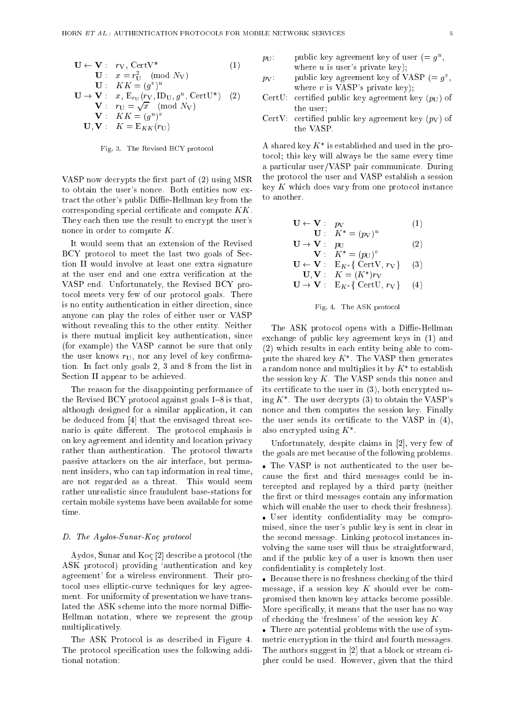$$
\mathbf{U} \leftarrow \mathbf{V}: \quad r_{\mathbf{V}}, \quad \text{CertV*} \tag{1}
$$
\n
$$
\mathbf{U}: \quad x = r_{\mathbf{U}}^2 \pmod{N_{\mathbf{V}}}
$$
\n
$$
\mathbf{U}: \quad KK = (g^v)^u
$$
\n
$$
\mathbf{U} \rightarrow \mathbf{V}: \quad x, \quad \mathbf{E}_{r_{\mathbf{U}}}(r_{\mathbf{V}}, \mathbf{I} \mathbf{D}_{\mathbf{U}}, g^u, \quad \text{CertU*}) \quad (2)
$$
\n
$$
\mathbf{V}: \quad r_{\mathbf{U}} = \sqrt{x} \pmod{N_{\mathbf{V}}}
$$
\n
$$
\mathbf{V}: \quad KK = (g^u)^v
$$
\n
$$
\mathbf{U}, \mathbf{V}: \quad K = \mathbf{E}_{KK}(r_{\mathbf{U}})
$$

Fig. 3. The Revised BCY protocol

VASP now decrypts the first part of  $(2)$  using MSR to obtain the user's nonce. Both entities now extract the other's public Diffie-Hellman key from the corresponding special certificate and compute  $KK$ . They each then use the result to encrypt the user's nonce in order to compute K.

It would seem that an extension of the Revised BCY protocol to meet the last two goals of Section II would involve at least one extra signature at the user end and one extra verication at the VASP end. Unfortunately, the Revised BCY protocol meets very few of our protocol goals. There is no entity authentication in either direction, since anyone can play the roles of either user or VASP without revealing this to the other entity. Neither is there mutual implicit key authentication, since (for example) the VASP cannot be sure that only the user knows  $r_{\text{U}}$ , nor any level of key confirmation. In fact only goals 2, 3 and 8 from the list in Section II appear to be achieved.

The reason for the disappointing performance of the Revised BCY protocol against goals  $1-8$  is that, although designed for a similar application, it can be deduced from [4] that the envisaged threat scenario is quite different. The protocol emphasis is on key agreement and identity and location privacy rather than authentication. The protocol thwarts passive attackers on the air interface, but permanent insiders, who can tap information in real time, are not regarded as a threat. This would seem rather unrealistic since fraudulent base-stations for certain mobile systems have been available for some time.

# D. The Aydos-Sunar-Koc protocol

Aydos, Sunar and Koc [2] describe a protocol (the ASK protocol) providing 'authentication and key agreement' for a wireless environment. Their protocol uses elliptic-curve techniques for key agreement. For uniformity of presentation we have translated the ASK scheme into the more normal Diffie-Hellman notation, where we represent the group multiplicatively.

The ASK Protocol is as described in Figure 4. The protocol specification uses the following additional notation:

$$
p_U
$$
: public key agreement key of user  $(= g^u,$   
where *u* is user's private key);

- $p_V$ : public key agreement key of vASF ( $= g<sub>1</sub>$ , where  $v$  is VASP's private key);
- CertU: certified public key agreement key  $(p_U)$  of the user;
- CertV: certified public key agreement key  $(p_V)$  of the VASP.

A shared key  $K$  is established and used in the protocol; this key will always be the same every time a particular user/VASP pair communicate. During the protocol the user and VASP establish a session key <sup>K</sup> which does vary from one protocol instance to another.

$$
\mathbf{U} \leftarrow \mathbf{V} : p_V
$$
  
\n
$$
\mathbf{U} : K^* = (p_V)^u
$$
  
\n
$$
\mathbf{U} \rightarrow \mathbf{V} : p_V
$$
  
\n(1)

$$
\mathbf{V}: \quad \mathbf{F}_{\mathbf{U}}^{\mathbf{U}} = (p_{\mathbf{U}})^{v} \tag{2}
$$
\n
$$
\mathbf{V}: \quad \mathbf{K}^* = (p_{\mathbf{U}})^{v} \tag{2}
$$

$$
\mathbf{U} \leftarrow \mathbf{V} : E_{K^*} \{ \text{ Cert } V, r_V \} \quad (3)
$$
  
\n
$$
\mathbf{U}, \mathbf{V} : K = (K^*)r_V
$$
  
\n
$$
\mathbf{U} \rightarrow \mathbf{V} : E_{K^*} \{ \text{ Cert } U, r_V \} \quad (4)
$$

$$
f_{\rm{max}}
$$



The ASK protocol opens with a Diffie-Hellman exchange of public key agreement keys in (1) and (2) which results in each entity being able to compute the shared key  $K$ . The vasir then generates a random nonce and multiplies it by  $K^-$  to establish the session key  $K$ . The VASP sends this nonce and its certicate to the user in (3), both encrypted using  $K^*$ . The user decrypts (3) to obtain the VASP's nonce and then computes the session key. Finally the user sends its certificate to the VASP in  $(4)$ , also encrypted using  $K$  .

Unfortunately, despite claims in [2], very few of the goals are met because of the following problems.

 The VASP is not authenticated to the user because the first and third messages could be intercepted and replayed by a third party (neither the first or third messages contain any information which will enable the user to check their freshness). User identity condentiality may be compromised, since the user's public key is sent in clear in the second message. Linking protocol instances involving the same user will thus be straightforward, and if the public key of a user is known then user condentiality is completely lost.

 Because there is no freshness checking of the third message, if a session key  $K$  should ever be compromised then known key attacks become possible. More specically, it means that the user has no way of checking the 'freshness' of the session key  $K$ .

 There are potential problems with the use of symmetric encryption in the third and fourth messages. The authors suggest in [2] that a block or stream cipher could be used. However, given that the third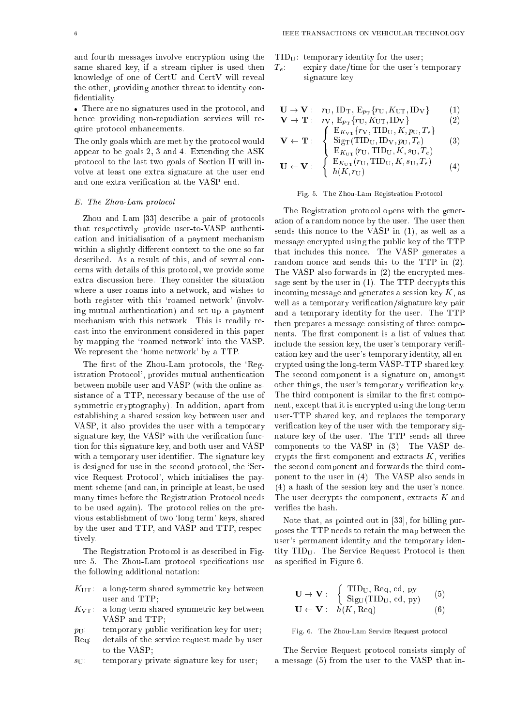and fourth messages involve encryption using the same shared key, if a stream cipher is used then knowledge of one of CertU and CertV will reveal the other, providing another threat to identity con dentiality.

 There are no signatures used in the protocol, and hence providing non-repudiation services will require protocol enhancements.

The only goals which are met by the protocol would appear to be goals 2, 3 and 4. Extending the ASK protocol to the last two goals of Section II will involve at least one extra signature at the user end and one extra verification at the VASP end.

# E. The Zhou-Lam protocol

Zhou and Lam [33] describe a pair of protocols that respectively provide user-to-VASP authentication and initialisation of a payment mechanism within a slightly different context to the one so far described. As a result of this, and of several concerns with details of this protocol, we provide some extra discussion here. They consider the situation where a user roams into a network, and wishes to both register with this 'roamed network' (involving mutual authentication) and set up a payment mechanism with this network. This is readily recast into the environment considered in this paper by mapping the `roamed network' into the VASP. We represent the 'home network' by a TTP.

The first of the Zhou-Lam protocols, the 'Registration Protocol', provides mutual authentication between mobile user and VASP (with the online assistance of a TTP, necessary because of the use of symmetric cryptography). In addition, apart from establishing a shared session key between user and VASP, it also provides the user with a temporary signature key, the VASP with the verification function for this signature key, and both user and VASP with a temporary user identifier. The signature key is designed for use in the second protocol, the 'Service Request Protocol', which initialises the payment scheme (and can, in principle at least, be used many times before the Registration Protocol needs to be used again). The protocol relies on the previous establishment of two `long term' keys, shared by the user and TTP, and VASP and TTP, respectively.

The Registration Protocol is as described in Figure 5. The Zhou-Lam protocol specifications use the following additional notation:

- $K_{\text{UT}}$ : a long-term shared symmetric key between user and TTP;
- $K_{\text{VT}}$ : a long-term shared symmetric key between VASP and TTP;
- $p_U$ : temporary public verification key for user;
- Req: details of the service request made by user to the VASP;
- $s_{\text{U}}$ : temporary private signature key for user;
- $TID_U$ : temporary identity for the user;
- $T_e$ : expiry date/time for the user's temporary signature key.

$$
\mathbf{U} \to \mathbf{V} : r_U, \text{ID}_T, \text{E}_{p_T} \{r_U, K_{UT}, \text{ID}_V\} \tag{1}
$$
\n
$$
\mathbf{V} \to \mathbf{T} : r_V, \text{E} \{r_U, K_{UT}, \text{ID}_V\} \tag{2}
$$

$$
\mathbf{v} \to \mathbf{1} : r_{\mathbf{V}}, \mathbf{E}_{p_{\mathbf{T}}} \{r_{\mathbf{U}}, \mathbf{A}_{\mathbf{U}\mathbf{T}}, \mathbf{D}_{\mathbf{V}}\}
$$
  
\n
$$
\left\{ \begin{array}{l} \mathbf{E}_{K_{\mathbf{V}\mathbf{T}}} \{r_{\mathbf{V}}, \mathbf{TID}_{\mathbf{U}}, K, p_{\mathbf{U}}, T_e \} \end{array} \right\}
$$
 (2)

$$
\mathbf{V} \leftarrow \mathbf{T} : \begin{cases} \text{Sig}_{\mathrm{T}}(\mathrm{TID}_{\mathrm{U}}, \mathrm{ID}_{\mathrm{V}}, p_{\mathrm{U}}, T_{e}) \\ \text{E}_{K_{\mathrm{UT}}}(r_{\mathrm{U}}, \mathrm{TID}_{\mathrm{U}}, K, s_{\mathrm{U}}, T_{e}) \end{cases} \tag{3}
$$

$$
\mathbf{U} \leftarrow \mathbf{V}: \begin{cases} \mathbf{E}_{K_{\text{UT}}}(r_{\text{U}}, \text{TID}_{\text{U}}, K, s_{\text{U}}, T_e) \\ h(K, r_{\text{U}}) \end{cases} \tag{4}
$$

# Fig. 5. The Zhou-Lam Registration Protocol

The Registration protocol opens with the generation of a random nonce by the user. The user then sends this nonce to the VASP in (1), as well as a message encrypted using the public key of the TTP that includes this nonce. The VASP generates a random nonce and sends this to the TTP in (2). The VASP also forwards in (2) the encrypted message sent by the user in (1). The TTP decrypts this incoming message and generates a session key  $K$ , as well as a temporary verification/signature key pair and a temporary identity for the user. The TTP then prepares a message consisting of three components. The first component is a list of values that include the session key, the user's temporary verification key and the user's temporary identity, all encrypted using the long-term VASP-TTP shared key. The second component is a signature on, amongst other things, the user's temporary verication key. The third component is similar to the first component, except that it is encrypted using the long-term user-TTP shared key, and replaces the temporary verification key of the user with the temporary signature key of the user. The TTP sends all three components to the VASP in (3). The VASP decrypts the first component and extracts  $K$ , verifies the second component and forwards the third component to the user in (4). The VASP also sends in (4) a hash of the session key and the user's nonce. The user decrypts the component, extracts  ${\cal K}$  and verifies the hash.

Note that, as pointed out in [33], for billing purposes the TTP needs to retain the map between the user's permanent identity and the temporary identity TIDU. The Service Request Protocol is then as specied in Figure 6.

$$
\mathbf{U} \rightarrow \mathbf{V} : \begin{cases} \text{TID}_U, \text{Req, cd, py} \\ \text{SigU(TID_U, cd, py)} \end{cases} (5)
$$
  

$$
\mathbf{U} \leftarrow \mathbf{V} : h(K, \text{Req}) \qquad (6)
$$

Fig. 6. The Zhou-Lam Service Request protocol

The Service Request protocol consists simply of a message (5) from the user to the VASP that in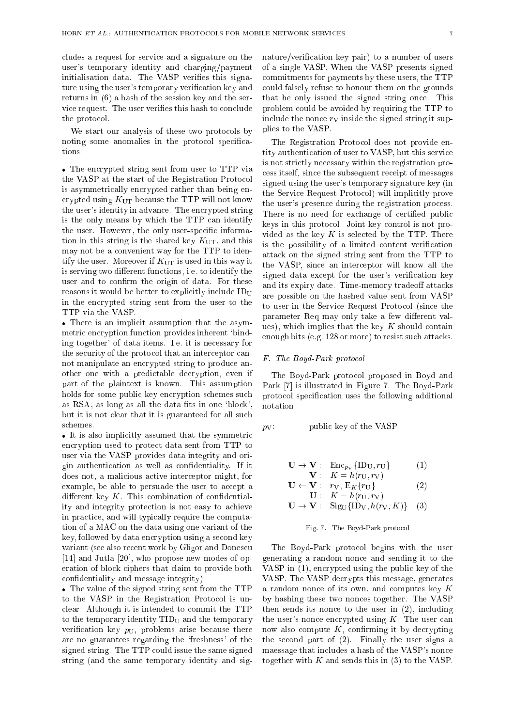cludes a request for service and a signature on the user's temporary identity and charging/payment initialisation data. The VASP verifies this signature using the user's temporary verification key and returns in (6) a hash of the session key and the service request. The user verifies this hash to conclude the protocol.

We start our analysis of these two protocols by noting some anomalies in the protocol specifications.

 The encrypted string sent from user to TTP via the VASP at the start of the Registration Protocol is asymmetrically encrypted rather than being encrypted using  $K_{\text{UT}}$  because the TTP will not know the user's identity in advance. The encrypted string is the only means by which the TTP can identify the user. However, the only user-specific information in this string is the shared key  $K_{\text{UT}}$ , and this may not be a convenient way for the TTP to identify the user. Moreover if  $K_{\text{UT}}$  is used in this way it is serving two different functions, i.e. to identify the user and to confirm the origin of data. For these reasons it would be better to explicitly include  $ID_U$ in the encrypted string sent from the user to the TTP via the VASP.

 There is an implicit assumption that the asymmetric encryption function provides inherent `binding together' of data items. I.e. it is necessary for the security of the protocol that an interceptor cannot manipulate an encrypted string to produce another one with a predictable decryption, even if part of the plaintext is known. This assumption holds for some public key encryption schemes such as  $RSA$ , as long as all the data fits in one 'block', but it is not clear that it is guaranteed for all such schemes.

 It is also implicitly assumed that the symmetric encryption used to protect data sent from TTP to user via the VASP provides data integrity and origin authentication as well as condentiality. If it does not, a malicious active interceptor might, for example, be able to persuade the user to accept a different key  $K$ . This combination of confidentiality and integrity protection is not easy to achieve in practice, and will typically require the computation of a MAC on the data using one variant of the key, followed by data encryption using a second key variant (see also recent work by Gligor and Donescu [14] and Jutla [20], who propose new modes of operation of block ciphers that claim to provide both condentiality and message integrity).

 The value of the signed string sent from the TTP to the VASP in the Registration Protocol is unclear. Although it is intended to commit the TTP to the temporary identity  $TID_U$  and the temporary verification key  $p_{\text{U}}$ , problems arise because there are no guarantees regarding the `freshness' of the signed string. The TTP could issue the same signed string (and the same temporary identity and sig-

nature/verification key pair) to a number of users of a single VASP. When the VASP presents signed commitments for payments by these users, the TTP could falsely refuse to honour them on the grounds that he only issued the signed string once. This problem could be avoided by requiring the TTP to include the nonce  $r_V$  inside the signed string it supplies to the VASP.

The Registration Protocol does not provide entity authentication of user to VASP, but this service is not strictly necessary within the registration process itself, since the subsequent receipt of messages signed using the user's temporary signature key (in the Service Request Protocol) will implicitly prove the user's presence during the registration process. There is no need for exchange of certified public keys in this protocol. Joint key control is not provided as the key  $K$  is selected by the TTP. There is the possibility of a limited content verification attack on the signed string sent from the TTP to the VASP, since an interceptor will know all the signed data except for the user's verification key and its expiry date. Time-memory tradeoff attacks are possible on the hashed value sent from VASP to user in the Service Request Protocol (since the parameter Req may only take a few different values), which implies that the key  $K$  should contain enough bits (e.g. 128 or more) to resist such attacks.

## F. The Boyd-Park protocol

The Boyd-Park protocol proposed in Boyd and Park [7] is illustrated in Figure 7. The Boyd-Park protocol specication uses the following additional notation:

$$
p_V
$$
: **public key of the VASP.**

$$
\mathbf{U} \to \mathbf{V} : \operatorname{Enc}_{p_V} {\{\mathbf{ID}_U, r_U\}} \tag{1}
$$
\n
$$
\mathbf{V} : K = h(r_U, r_V)
$$

$$
\mathbf{U} \leftarrow \mathbf{V}: \begin{array}{c} \mathbf{V}: \mathbf{K} = n(v_0, v_1) \\ \mathbf{V}: \mathbf{K} = h(v_0, v_1) \end{array} \tag{2}
$$

$$
\mathbf{U} \to \mathbf{V} : \text{Sig}_{\mathrm{U}}\{\text{ID}_{\mathrm{V}}, h(r_{\mathrm{V}}, K)\} \quad (3)
$$

#### Fig. 7. The Boyd-Park protocol

The Boyd-Park protocol begins with the user generating a random nonce and sending it to the VASP in (1), encrypted using the public key of the VASP. The VASP decrypts this message, generates a random nonce of its own, and computes key <sup>K</sup> by hashing these two nonces together. The VASP then sends its nonce to the user in (2), including the user's nonce encrypted using  $K$ . The user can now also compute  $K$ , confirming it by decrypting the second part of (2). Finally the user signs a maessage that includes a hash of the VASP's nonce together with  $K$  and sends this in (3) to the VASP.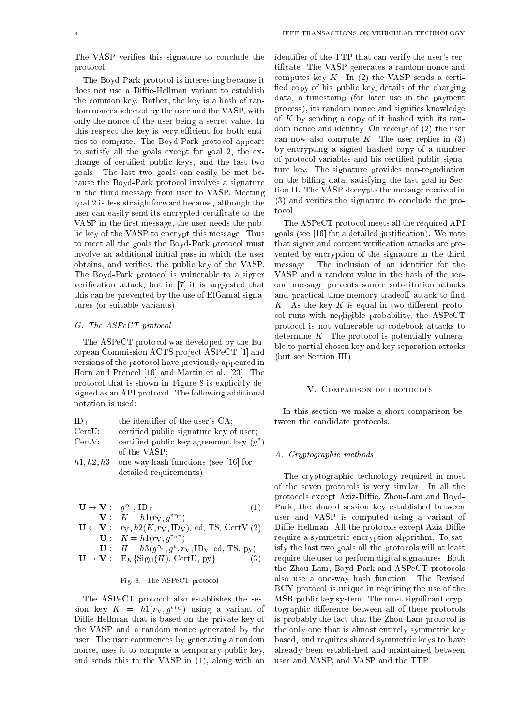The VASP verifies this signature to conclude the protocol.

The Boyd-Park protocol is interesting because it does not use a Diffie-Hellman variant to establish the common key. Rather, the key is a hash of random nonces selected by the user and the VASP, with only the nonce of the user being a secret value. In this respect the key is very efficient for both entities to compute. The Boyd-Park protocol appears to satisfy all the goals except for goal 2, the exchange of certied public keys, and the last two goals. The last two goals can easily be met because the Boyd-Park protocol involves a signature in the third message from user to VASP. Meeting goal 2 is less straightforward because, although the user can easily send its encrypted certificate to the VASP in the first message, the user needs the public key of the VASP to encrypt this message. Thus to meet all the goals the Boyd-Park protocol must involve an additional initial pass in which the user obtains, and veries, the public key of the VASP. The Boyd-Park protocol is vulnerable to a signer verification attack, but in  $[7]$  it is suggested that this can be prevented by the use of ElGamal signatures (or suitable variants).

# G. The ASPeCT protocol

The ASPeCT protocol was developed by the European Commission ACTS project ASPeCT [1] and versions of the protocol have previously appeared in Horn and Preneel [16] and Martin et al. [23]. The protocol that is shown in Figure 8 is explicitly designed as an API protocol. The following additional notation is used:

| $ID_T$ | the identifier of the user's CA:       |
|--------|----------------------------------------|
| CertU  | certified public signature key of user |

| vuuv.  | ceremed public signature new or user,      |
|--------|--------------------------------------------|
| CertV: | certified public key agreement key $(g^v)$ |
|        | of the VASP:                               |

 $h1, h2, h3$ : one-way hash functions (see [16] for detailed requirements).

of the VASP; the VASP; the VASP; the VASP; the VASP; the VASP; the VASP; the VASP; the VASP; the VASP; the VASP

$$
\mathbf{U} \to \mathbf{V} : g^{rv}, \text{ID}_{\text{T}} \tag{1}
$$
\n
$$
\mathbf{V} : K = h \mathbf{1} (r_{\text{V}} , g^{vr_{\text{U}}})
$$

$$
\mathbf{U} \leftarrow \mathbf{V} : \begin{array}{c} r_V, h2(K, r_V, \mathbf{D}_V), \text{ cd, TS, CertV (2)} \\ \mathbf{U} : K = h1(r_V, g^{rvv}) \end{array}
$$

$$
\mathbf{U} : H = n \mathfrak{z}(g^{\circ\circ}, g^{\circ}, r_{\mathbf{V}}, \mathbf{I} \mathbf{D}_{\mathbf{V}}, \mathbf{c}\mathbf{a}, \mathbf{1}\mathbf{s}, \mathbf{p}\mathbf{y}) \n\mathbf{U} \rightarrow \mathbf{V} : E_K \{ \text{Sig}_{\mathbf{U}}(H), \text{CertU}, \mathbf{p}\} \tag{3}
$$

#### Fig. 8. The ASPeCT protocol

The ASPeCT protocol also establishes the session key  $K = n_1(r_V, g^{\alpha} \circ)$  using a variant of Diffie-Hellman that is based on the private key of the VASP and a random nonce generated by the user. The user commences by generating a random nonce, uses it to compute a temporary public key, and sends this to the VASP in (1), along with an identifier of the TTP that can verify the user's certicate. The VASP generates a random nonce and computes key  $K$ . In (2) the VASP sends a certified copy of his public key, details of the charging data, a timestamp (for later use in the payment process), its random nonce and signifies knowledge of  $K$  by sending a copy of it hashed with its random nonce and identity. On receipt of (2) the user can now also compute  $K$ . The user replies in  $(3)$ by encrypting a signed hashed copy of a number of protocol variables and his certied public signature key. The signature provides non-repudiation on the billing data, satisfying the last goal in Section II. The VASP decrypts the message received in (3) and veries the signature to conclude the protocol.

The ASPeCT protocol meets all the required API goals (see [16] for a detailed justication). We note that signer and content verification attacks are prevented by encryption of the signature in the third message. The inclusion of an identifier for the VASP and a random value in the hash of the second message prevents source substitution attacks and practical time-memory tradeoff attack to find K. As the key K is equal in two different protocol runs with negligible probability, the ASPeCT protocol is not vulnerable to codebook attacks to determine  $K$ . The protocol is potentially vulnerable to partial chosen key and key separation attacks (but see Section III).

#### V. COMPARISON OF PROTOCOLS

In this section we make a short comparison between the candidate protocols.

#### A. Cryptographic methods

The cryptographic technology required in most of the seven protocols is very similar. In all the protocols except Aziz-Diffie, Zhou-Lam and Boyd-Park, the shared session key established between user and VASP is computed using a variant of Diffie-Hellman. All the protocols except Aziz-Diffie require a symmetric encryption algorithm. To satisfy the last two goals all the protocols will at least require the user to perform digital signatures. Both the Zhou-Lam, Boyd-Park and ASPeCT protocols also use a one-way hash function. The Revised BCY protocol is unique in requiring the use of the MSR public key system. The most significant cryptographic difference between all of these protocols is probably the fact that the Zhou-Lam protocol is the only one that is almost entirely symmetric key based, and requires shared symmetric keys to have already been established and maintained between user and VASP, and VASP and the TTP.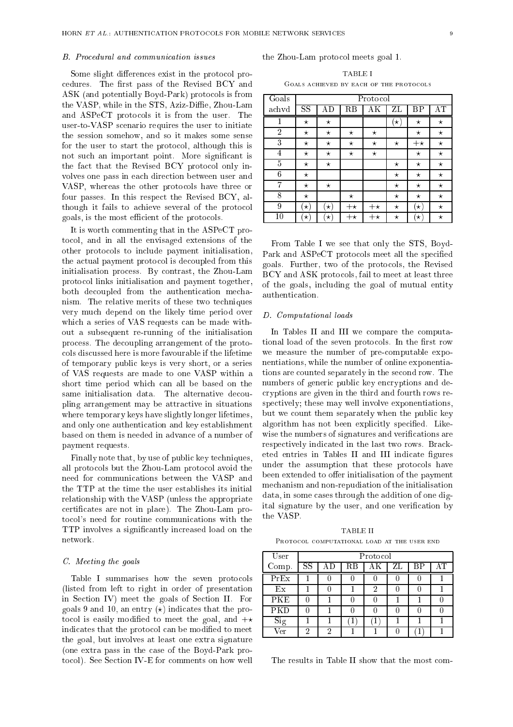#### B. Procedural and communication issues

Some slight differences exist in the protocol procedures. The first pass of the Revised BCY and ASK (and potentially Boyd-Park) protocols is from the VASP, while in the STS, Aziz-Diffie, Zhou-Lam and ASPeCT protocols it is from the user. The user-to-VASP scenario requires the user to initiate the session somehow, and so it makes some sense for the user to start the protocol, although this is not such an important point. More signicant is the fact that the Revised BCY protocol only involves one pass in each direction between user and VASP, whereas the other protocols have three or four passes. In this respect the Revised BCY, although it fails to achieve several of the protocol goals, is the most efficient of the protocols.

It is worth commenting that in the ASPeCT protocol, and in all the envisaged extensions of the other protocols to include payment initialisation, the actual payment protocol is decoupled from this initialisation process. By contrast, the Zhou-Lam protocol links initialisation and payment together, both decoupled from the authentication mechanism. The relative merits of these two techniques very much depend on the likely time period over which a series of VAS requests can be made without a subsequent re-running of the initialisation process. The decoupling arrangement of the protocols discussed here is more favourable if the lifetime of temporary public keys is very short, or a series of VAS requests are made to one VASP within a short time period which can all be based on the same initialisation data. The alternative decoupling arrangement may be attractive in situations where temporary keys have slightly longer lifetimes, and only one authentication and key establishment based on them is needed in advance of a number of payment requests.

Finally note that, by use of public key techniques, all protocols but the Zhou-Lam protocol avoid the need for communications between the VASP and the TTP at the time the user establishes its initial relationship with the VASP (unless the appropriate certicates are not in place). The Zhou-Lam protocol's need for routine communications with the TTP involves a signicantly increased load on the network.

#### C. Meeting the goals

Table I summarises how the seven protocols (listed from left to right in order of presentation in Section IV) meet the goals of Section II. For goals 9 and 10, an entry  $(\star)$  indicates that the protocol is easily modified to meet the goal, and  $+\star$ indicates that the protocol can be modified to meet the goal, but involves at least one extra signature (one extra pass in the case of the Boyd-Park protocol). See Section IV-E for comments on how well

the Zhou-Lam protocol meets goal 1.

| 'TABLE I<br>GOALS ACHIEVED BY EACH OF THE PROTOCOLS |  |  |  |  |  |
|-----------------------------------------------------|--|--|--|--|--|
|                                                     |  |  |  |  |  |

| Goals          | Protocol            |          |             |                     |           |           |          |  |  |
|----------------|---------------------|----------|-------------|---------------------|-----------|-----------|----------|--|--|
| achvd          | $_{\rm SS}$         | ΑD       | $_{\rm RB}$ | $\overline{\rm AK}$ | ZL        | ΒP        | AΤ       |  |  |
| 1              | $^\star$            | $^\star$ |             |                     | $(\star)$ | $\star$   | $^\star$ |  |  |
| $\overline{2}$ | $^\star$            | $^\star$ | $^\star$    | $^\star$            |           | $^\star$  | $^\star$ |  |  |
| 3              | $^\star$            | $^\star$ | $^\star$    | $^\star$            | $^\star$  | $+ \star$ | $^\star$ |  |  |
| 4              | $\star$             | $^\star$ | $\star$     | $^\star$            |           | $\star$   | $^\star$ |  |  |
| 5              | $\star$             | $^\star$ |             |                     | $\star$   | $\star$   | $^\star$ |  |  |
| 6              | $\star$             |          |             |                     | $^\star$  | $\star$   | $^\star$ |  |  |
| 7              | $^\star$            | $\star$  |             |                     | $^\star$  | $^\star$  | $^\star$ |  |  |
| 8              | $\star$             |          | $^\star$    |                     | $^\star$  | $\star$   | $^\star$ |  |  |
| 9              | $\star$             | $\star)$ | $+ \star$   | $+ \star$           | $\star$   | $\star)$  | $^\star$ |  |  |
| 10             | $\vert \star \vert$ | $\star)$ | $+ \star$   | $+ \star$           | $\star$   | $\star$   | $^\star$ |  |  |

From Table I we see that only the STS, Boyd-Park and ASPeCT protocols meet all the specified goals. Further, two of the protocols, the Revised BCY and ASK protocols, fail to meet at least three of the goals, including the goal of mutual entity authentication.

# D. Computational loads

In Tables II and III we compare the computational load of the seven protocols. In the first row we measure the number of pre-computable exponentiations, while the number of online exponentiations are counted separately in the second row. The numbers of generic public key encryptions and decryptions are given in the third and fourth rows respectively; these may well involve exponentiations, but we count them separately when the public key algorithm has not been explicitly specified. Likewise the numbers of signatures and verifications are respectively indicated in the last two rows. Bracketed entries in Tables II and III indicate figures under the assumption that these protocols have been extended to offer initialisation of the payment mechanism and non-repudiation of the initialisation data, in some cases through the addition of one digital signature by the user, and one verification by the VASP.

PROTOCOL COMPUTATIONAL LOAD AT THE USER END

| User                    | Protocol    |   |    |   |    |  |  |  |  |
|-------------------------|-------------|---|----|---|----|--|--|--|--|
| Comp.                   | $_{\rm SS}$ |   | RВ |   | ZL |  |  |  |  |
| PrEx                    |             |   |    |   |    |  |  |  |  |
| Ex                      |             |   |    | 2 |    |  |  |  |  |
| <b>PKE</b>              |             |   |    |   |    |  |  |  |  |
| PKD                     |             |   |    |   |    |  |  |  |  |
| Sig                     |             |   |    |   |    |  |  |  |  |
| $\overline{\text{Ver}}$ | 2           | റ |    |   |    |  |  |  |  |

The results in Table II show that the most com-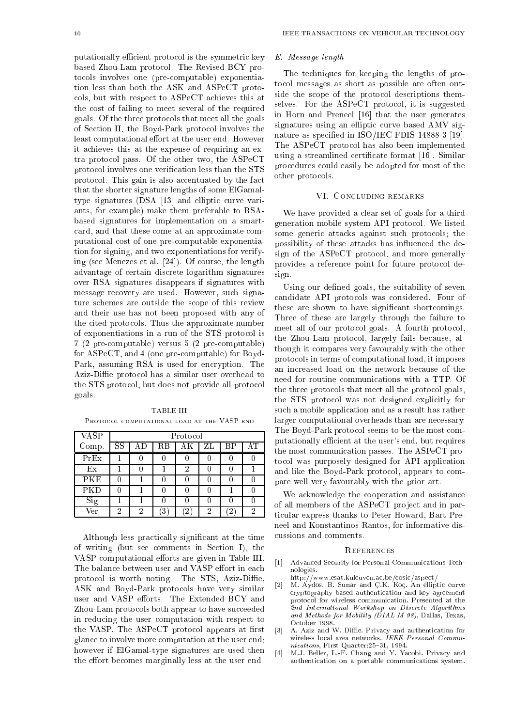putationally efficient protocol is the symmetric key based Zhou-Lam protocol. The Revised BCY protocols involves one (pre-computable) exponentiation less than both the ASK and ASPeCT protocols, but with respect to ASPeCT achieves this at the cost of failing to meet several of the required goals. Of the three protocols that meet all the goals of Section II, the Boyd-Park protocol involves the least computational effort at the user end. However it achieves this at the expense of requiring an extra protocol pass. Of the other two, the ASPeCT protocol involves one verication less than the STS protocol. This gain is also accentuated by the fact that the shorter signature lengths of some ElGamaltype signatures (DSA [13] and elliptic curve variants, for example) make them preferable to RSAbased signatures for implementation on a smartcard, and that these come at an approximate computational cost of one pre-computable exponentiation for signing, and two exponentiations for verifying (see Menezes et al. [24]). Of course, the length advantage of certain discrete logarithm signatures over RSA signatures disappears if signatures with message recovery are used. However, such signature schemes are outside the scope of this review and their use has not been proposed with any of the cited protocols. Thus the approximate number of exponentiations in a run of the STS protocol is 7 (2 pre-computable) versus 5 (2 pre-computable) for ASPeCT, and 4 (one pre-computable) for Boyd-Park, assuming RSA is used for encryption. The Aziz-Diffie protocol has a similar user overhead to the STS protocol, but does not provide all protocol goals.

**TABLE III** PROTOCOL COMPUTATIONAL LOAD AT THE VASP END

| <b>VASP</b> | Protocol               |   |    |        |    |    |   |  |
|-------------|------------------------|---|----|--------|----|----|---|--|
| Comp.       | $\overline{\text{SS}}$ |   | RВ |        | ZL | ВP |   |  |
| PrEx        |                        |   |    |        |    |    |   |  |
| Ex          |                        |   |    | 2      |    |    |   |  |
| PKE         |                        |   |    |        |    |    |   |  |
| PKD         |                        |   |    |        |    |    |   |  |
| Sig         |                        |   |    |        |    |    |   |  |
| Ver         | 2                      | 9 |    | $^{2}$ | റ  |    | 2 |  |

Although less practically signicant at the time of writing (but see comments in Section I), the VASP computational efforts are given in Table III. The balance between user and VASP effort in each protocol is worth noting. The STS, Aziz-Diffie, ASK and Boyd-Park protocols have very similar user and VASP efforts. The Extended BCY and Zhou-Lam protocols both appear to have succeeded in reducing the user computation with respect to the VASP. The ASPeCT protocol appears at first glance to involve more computation at the user end; however if ElGamal-type signatures are used then the effort becomes marginally less at the user end.

# E. Message length

The techniques for keeping the lengths of protocol messages as short as possible are often outside the scope of the protocol descriptions themselves. For the ASPeCT protocol, it is suggested in Horn and Preneel [16] that the user generates signatures using an elliptic curve based AMV signature as specified in ISO/IEC FDIS 14888-3 [19]. The ASPeCT protocol has also been implemented using a streamlined certificate format [16]. Similar procedures could easily be adopted for most of the other protocols.

# VI. Concluding remarks

We have provided a clear set of goals for a third generation mobile system API protocol. We listed some generic attacks against such protocols; the possibility of these attacks has in
uenced the design of the ASPeCT protocol, and more generally provides a reference point for future protocol design.

Using our defined goals, the suitability of seven candidate API protocols was considered. Four of these are shown to have signicant shortcomings. Three of these are largely through the failure to meet all of our protocol goals. A fourth protocol, the Zhou-Lam protocol, largely fails because, although it compares very favourably with the other protocols in terms of computational load, it imposes an increased load on the network because of the need for routine communications with a TTP. Of the three protocols that meet all the protocol goals, the STS protocol was not designed explicitly for such a mobile application and as a result has rather larger computational overheads than are necessary. The Boyd-Park protocol seems to be the most computationally efficient at the user's end, but requires the most communication passes. The ASPeCT protocol was purposely designed for API application and like the Boyd-Park protocol, appears to compare well very favourably with the prior art.

We acknowledge the cooperation and assistance of all members of the ASPeCT pro ject and in particular express thanks to Peter Howard, Bart Preneel and Konstantinos Rantos, for informative discussions and comments.

#### **REFERENCES**

- [1] Advanced Security for Personal Communications Technologies.
- http://www.esat.kuleuven.ac.be/cosic/aspect/
- [2] M. Aydos, B. Sunar and C .K. Koc. An elliptic curve cryptography based authentication and key agreement protocol for wireless communication. Presented at the 2nd International Workshop on Discrete Algorithms and Methods for Mobility ( $DIAL$  M 98), Dallas, Texas,
- [3] A. Aziz and W. Die. Privacy and authentication for wireless local area networks. IEEE Personal Communications, First Quarter: 25-31, 1994.
- [4] M.J. Beller, L.-F. Chang and Y. Yacobi. Privacy and authentication on a portable communications system.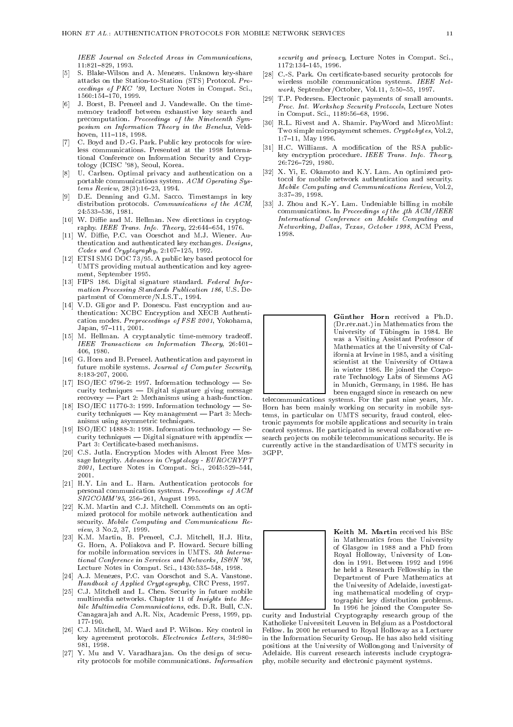IEEE Journal on Selected Areas in Communications,  $11:821 - 829.1993.$ 11:821{829, 1993.

- S. Blake-Wilson and A. Menezes, Unknown key-share [5] S. Blake-Wilson and A. Menezes. Unknown key-share attacks on the Station-to-Station (STS) Protocol. Proceedings of PKC '99, Lecture Notes in Comput. Sci., 1560:154{170, 1999.
- [6] J. Borst, B. Preneel and J. Vandewalle. On the timememory tradeoff between exhaustive key search and precomputation. Proceedings of the Nineteenth Symposium on Information Theory in the Benelux, Veldhoven, 111-118, 1998.
- [7] C. Boyd and D.-G. Park. Public key protocols for wireless communications. Presented at the 1998 International Conference on Information Security and Cryptology (ICISC '98), Seoul, Korea.
- [8] U. Carlsen. Optimal privacy and authentication on a portable communications system. ACM Operating Systems Review,  $28(3):16-23, 1994.$
- [9] D.E. Denning and G.M. Sacco. Timestamps in key distribution protocols. *Communications of the ACM*, 24:533-536, 1981.
- [10] W. Diffie and M. Hellman. New directions in cryptography. IEEE Trans. Info. Theory,  $22:644-654$ , 1976.
- [11] W. Diffie, P.C. van Oorschot and M.J. Wiener. Authentication and authenticated key exchanges. Designs, Codes and Cryptography,  $2:107-125$ , 1992.
- [12] ETSI SMG DOC 73/95. A public key based protocol for UMTS providing mutual authentication and key agreement, September 1995.
- [13] FIPS 186. Digital signature standard. Federal Information Processing Standards Publication 186, U.S. Department of Commerce/N.I.S.T., 1994.
- [14] V.D. Gligor and P. Donescu. Fast encryption and authentication: XCBC Encryption and XECB Authentication modes. Preproceedings of FSE 2001, Yokohama, Japan, 97-111, 2001.
- [15] M. Hellman. A cryptanalytic time-memory tradeoff. IEEE Transactions on Information Theory, 26:401-406, 1980.
- [16] G. Horn and B. Preneel. Authentication and payment in future mobile systems. Journal of Computer Security, 8:183-207, 2000.
- [17] ISO/IEC 9796-2: 1997. Information technology  $-$  Security techniques - Digital signature giving message recovery - Part 2: Mechanisms using a hash-function.
- [18] ISO/IEC 11770-3: 1999. Information technology  $\cdot$ - Security techniques  $-$  Key management  $-$  Part 3: Mechanisms using asymmetric techniques.
- [19] ISO/IEC 14888-3: 1998. Information technology  $-$  Security techniques  $-$  Digital signature with appendix -Part 3: Certificate-based mechanisms.
- [20] C.S. Jutla. Encryption Modes with Almost Free Message Integrity.  $A\ddot{d}$  vances in Cryptology -  $EUROCRYPT$  $2001$ , Lecture Notes in Comput. Sci., 2045:529-544, 2001.
- [21] H.Y. Lin and L. Harn. Authentication protocols for personal communication systems. Proceedings of ACM  $SIGCOMM'95, 256–261, \text{ August } 1995.$
- [22] K.M. Martin and C.J. Mitchell. Comments on an optimized protocol for mobile network authentication and security. Mobile Computing and Communications Review, 3 No.2, 37, 1999.
- [23] K.M. Martin, B. Preneel, C.J. Mitchell, H.J. Hitz, G. Horn, A. Poliakova and P. Howard. Secure billing for mobile information services in UMTS. 5th International Conference in Services and Networks, IS&N '98, Lecture Notes in Comput. Sci., 1430:535-548, 1998.
- [24] A.J. Menezes, P.C. van Oorschot and S.A. Vanstone. Handbook of Applied Cryptography, CRC Press, 1997.
- [25] C.J. Mitchell and L. Chen. Security in future mobile multimedia networks. Chapter 11 of Insights into Mobile Multimedia Communications, eds. D.R. Bull, C.N. Canagara jah and A.R. Nix, Academic Press, 1999, pp.  $177 - 190.$
- [26] C.J. Mitchell, M. Ward and P. Wilson. Key control in key agreement protocols. Electronics Letters, 34:980-981.1998. 981, 1998. In the second control of the second control of the second control of the second control of the second
- [27] Y. Mu and V. Varadharajan. On the design of security protocols for mobile communications. Information

security and privacy, Lecture Notes in Comput. Sci., 1172:134-145. 1996. 1172:134{145, 1996.

- [28] C.-S. Park. On certificate-based security protocols for wireless mobile communication systems. IEEE Net $work$ , September/October, Vol.11, 5:50-55, 1997.
- [29] T.P. Pedersen. Electronic payments of small amounts. Proc. Int. Workshop Security Protocols, Lecture Notes in Comput. Sci., 1189:56-68, 1996.
- [30] R.L. Rivest and A. Shamir. PayWord and MicroMint: Two simple micropayment schemes. Cryptobytes, Vol.2, 1:7-11, May 1996.
- [31] H.C. Williams. A modification of the RSA publickey encryption procedure. IEEE Trans. Info. Theory, 26:726{729, 1980.
- [32] X. Yi, E. Okamoto and K.Y. Lam. An optimized protocol for mobile network authentication and security. Mobile Computing and Communications Review, Vol.2, 3:37-39, 1998.
- [33] J. Zhou and K.-Y. Lam. Undeniable billing in mobile communications. In Proceedings of the 4th  $\breve{ACM}/IEEE$ International Conference on Mobile Computing and Networking, Dallas, Texas, October 1998, ACM Press, 1998



Günther Horn received a Ph.D. (Dr.rer.nat.) in Mathematics from the University of Tubingen in 1984. He was a Visiting Assistant Professor of Mathematics at the University of California at Irvine in 1985, and a visiting scientist at the University of Ottawa in winter 1986. He joined the Corporate Technology Labs of Siemens AG in Munich, Germany, in 1986. He has been engaged since in research on new

telecommunications systems. For the past nine years, Mr. Horn has been mainly working on security in mobile systems, in particular on UMTS security, fraud control, electronic payments for mobile applications and security in train tronic payments for mobile applications and security in train control systems. He participated in several collaborative research projects on mobile telecommunications security. He is currently active in the standardisation of UMTS security in  $3GPP.$ 



Keith M. Martin received his BSc in Mathematics from the University of Glasgow in 1988 and a PhD from Royal Holloway, University of London in 1991. Between 1992 and 1996 he held a Research Fellowship in the he held a Research Fellowship in the held a Research Fellowship in the held and the held a Research Fellowship in the held and the held a Research Fellowship in the held and the held and the held and the held and the held Department of Pure Mathematics at Department of Pure Mathematics at the University of Adelaide, investigating mathematical modeling of cryptographic key distribution problems. In 1996 he joined the Computer Se-

curity and Industrial Cryptography research group of the Katholieke Universiteit Leuven in Belgium as a Postdoctoral Fellow. In 2000 he returned to Royal Holloway as a Lecturer Fellow. In 2000 he returned to  $\Gamma$ in the Information Security Group. He has also held visiting positions at the University of Wollongong and University of Adelaide. His current research interests include cryptography, mobile security and electronic payment systems.